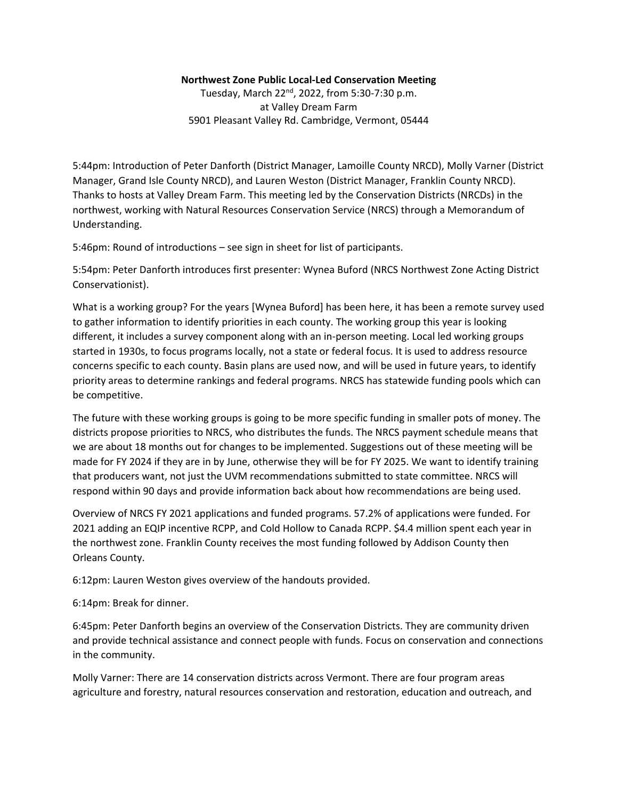## **Northwest Zone Public Local-Led Conservation Meeting**

Tuesday, March 22nd, 2022, from 5:30-7:30 p.m. at Valley Dream Farm 5901 Pleasant Valley Rd. Cambridge, Vermont, 05444

5:44pm: Introduction of Peter Danforth (District Manager, Lamoille County NRCD), Molly Varner (District Manager, Grand Isle County NRCD), and Lauren Weston (District Manager, Franklin County NRCD). Thanks to hosts at Valley Dream Farm. This meeting led by the Conservation Districts (NRCDs) in the northwest, working with Natural Resources Conservation Service (NRCS) through a Memorandum of Understanding.

5:46pm: Round of introductions – see sign in sheet for list of participants.

5:54pm: Peter Danforth introduces first presenter: Wynea Buford (NRCS Northwest Zone Acting District Conservationist).

What is a working group? For the years [Wynea Buford] has been here, it has been a remote survey used to gather information to identify priorities in each county. The working group this year is looking different, it includes a survey component along with an in-person meeting. Local led working groups started in 1930s, to focus programs locally, not a state or federal focus. It is used to address resource concerns specific to each county. Basin plans are used now, and will be used in future years, to identify priority areas to determine rankings and federal programs. NRCS has statewide funding pools which can be competitive.

The future with these working groups is going to be more specific funding in smaller pots of money. The districts propose priorities to NRCS, who distributes the funds. The NRCS payment schedule means that we are about 18 months out for changes to be implemented. Suggestions out of these meeting will be made for FY 2024 if they are in by June, otherwise they will be for FY 2025. We want to identify training that producers want, not just the UVM recommendations submitted to state committee. NRCS will respond within 90 days and provide information back about how recommendations are being used.

Overview of NRCS FY 2021 applications and funded programs. 57.2% of applications were funded. For 2021 adding an EQIP incentive RCPP, and Cold Hollow to Canada RCPP. \$4.4 million spent each year in the northwest zone. Franklin County receives the most funding followed by Addison County then Orleans County.

6:12pm: Lauren Weston gives overview of the handouts provided.

6:14pm: Break for dinner.

6:45pm: Peter Danforth begins an overview of the Conservation Districts. They are community driven and provide technical assistance and connect people with funds. Focus on conservation and connections in the community.

Molly Varner: There are 14 conservation districts across Vermont. There are four program areas agriculture and forestry, natural resources conservation and restoration, education and outreach, and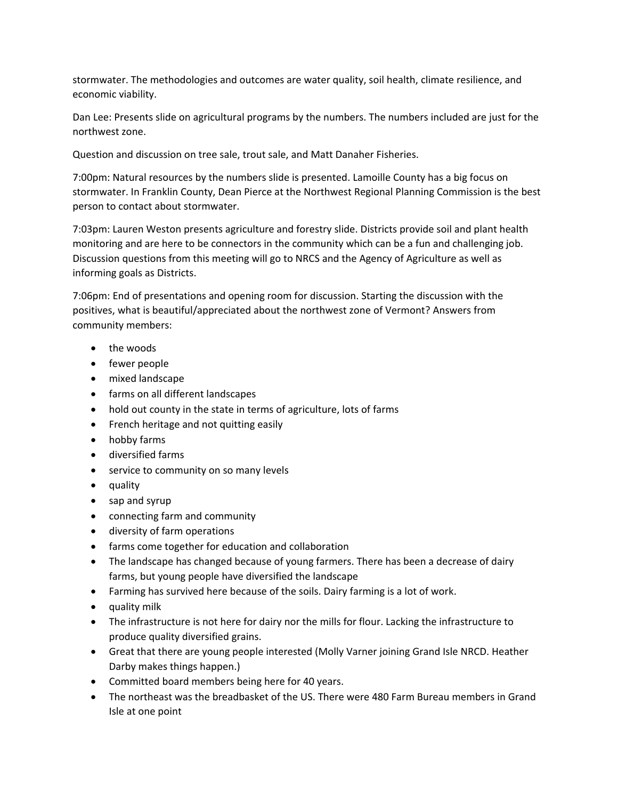stormwater. The methodologies and outcomes are water quality, soil health, climate resilience, and economic viability.

Dan Lee: Presents slide on agricultural programs by the numbers. The numbers included are just for the northwest zone.

Question and discussion on tree sale, trout sale, and Matt Danaher Fisheries.

7:00pm: Natural resources by the numbers slide is presented. Lamoille County has a big focus on stormwater. In Franklin County, Dean Pierce at the Northwest Regional Planning Commission is the best person to contact about stormwater.

7:03pm: Lauren Weston presents agriculture and forestry slide. Districts provide soil and plant health monitoring and are here to be connectors in the community which can be a fun and challenging job. Discussion questions from this meeting will go to NRCS and the Agency of Agriculture as well as informing goals as Districts.

7:06pm: End of presentations and opening room for discussion. Starting the discussion with the positives, what is beautiful/appreciated about the northwest zone of Vermont? Answers from community members:

- the woods
- fewer people
- mixed landscape
- farms on all different landscapes
- hold out county in the state in terms of agriculture, lots of farms
- French heritage and not quitting easily
- hobby farms
- diversified farms
- service to community on so many levels
- quality
- sap and syrup
- connecting farm and community
- diversity of farm operations
- farms come together for education and collaboration
- The landscape has changed because of young farmers. There has been a decrease of dairy farms, but young people have diversified the landscape
- Farming has survived here because of the soils. Dairy farming is a lot of work.
- quality milk
- The infrastructure is not here for dairy nor the mills for flour. Lacking the infrastructure to produce quality diversified grains.
- Great that there are young people interested (Molly Varner joining Grand Isle NRCD. Heather Darby makes things happen.)
- Committed board members being here for 40 years.
- The northeast was the breadbasket of the US. There were 480 Farm Bureau members in Grand Isle at one point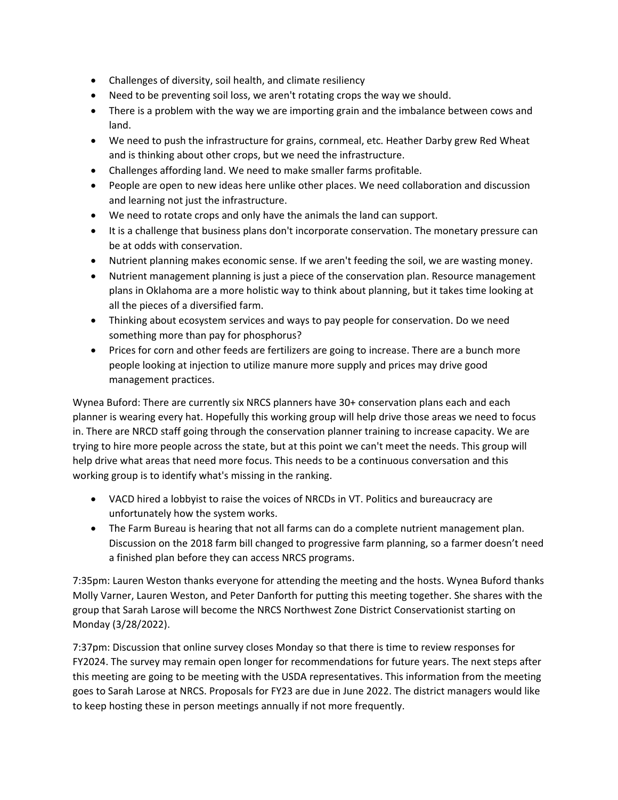- Challenges of diversity, soil health, and climate resiliency
- Need to be preventing soil loss, we aren't rotating crops the way we should.
- There is a problem with the way we are importing grain and the imbalance between cows and land.
- We need to push the infrastructure for grains, cornmeal, etc. Heather Darby grew Red Wheat and is thinking about other crops, but we need the infrastructure.
- Challenges affording land. We need to make smaller farms profitable.
- People are open to new ideas here unlike other places. We need collaboration and discussion and learning not just the infrastructure.
- We need to rotate crops and only have the animals the land can support.
- It is a challenge that business plans don't incorporate conservation. The monetary pressure can be at odds with conservation.
- Nutrient planning makes economic sense. If we aren't feeding the soil, we are wasting money.
- Nutrient management planning is just a piece of the conservation plan. Resource management plans in Oklahoma are a more holistic way to think about planning, but it takes time looking at all the pieces of a diversified farm.
- Thinking about ecosystem services and ways to pay people for conservation. Do we need something more than pay for phosphorus?
- Prices for corn and other feeds are fertilizers are going to increase. There are a bunch more people looking at injection to utilize manure more supply and prices may drive good management practices.

Wynea Buford: There are currently six NRCS planners have 30+ conservation plans each and each planner is wearing every hat. Hopefully this working group will help drive those areas we need to focus in. There are NRCD staff going through the conservation planner training to increase capacity. We are trying to hire more people across the state, but at this point we can't meet the needs. This group will help drive what areas that need more focus. This needs to be a continuous conversation and this working group is to identify what's missing in the ranking.

- VACD hired a lobbyist to raise the voices of NRCDs in VT. Politics and bureaucracy are unfortunately how the system works.
- The Farm Bureau is hearing that not all farms can do a complete nutrient management plan. Discussion on the 2018 farm bill changed to progressive farm planning, so a farmer doesn't need a finished plan before they can access NRCS programs.

7:35pm: Lauren Weston thanks everyone for attending the meeting and the hosts. Wynea Buford thanks Molly Varner, Lauren Weston, and Peter Danforth for putting this meeting together. She shares with the group that Sarah Larose will become the NRCS Northwest Zone District Conservationist starting on Monday (3/28/2022).

7:37pm: Discussion that online survey closes Monday so that there is time to review responses for FY2024. The survey may remain open longer for recommendations for future years. The next steps after this meeting are going to be meeting with the USDA representatives. This information from the meeting goes to Sarah Larose at NRCS. Proposals for FY23 are due in June 2022. The district managers would like to keep hosting these in person meetings annually if not more frequently.